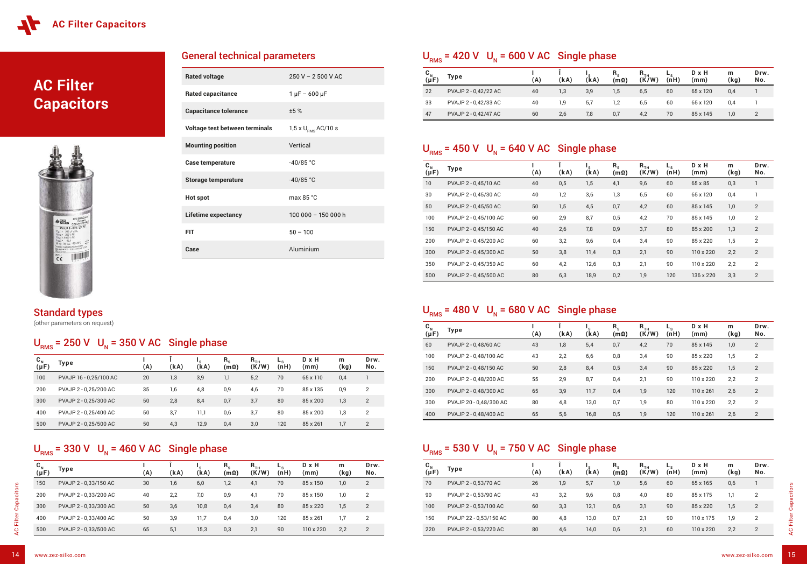# **AC Filter Capacitors**



| <b>Rated voltage</b>           | $250 V - 2500 V AC$                  |
|--------------------------------|--------------------------------------|
| <b>Rated capacitance</b>       | $1 \mu F - 600 \mu F$                |
| <b>Capacitance tolerance</b>   | ±5%                                  |
| Voltage test between terminals | 1,5 x $U_{\text{\tiny RMS}}$ AC/10 s |
| <b>Mounting position</b>       | Vertical                             |
| <b>Case temperature</b>        | $-40/85 °C$                          |
| <b>Storage temperature</b>     | $-40/85 °C$                          |
| <b>Hot spot</b>                | max 85 °C                            |
| <b>Lifetime expectancy</b>     | 100 000 - 150 000 h                  |
| <b>FIT</b>                     | $50 - 100$                           |
| Case                           | Aluminium                            |

General technical parameters

### $U<sub>RMS</sub>$  = 420 V  $U<sub>N</sub>$  = 600 V AC Single phase

### Standard types

(other parameters on request)

### $U<sub>RMS</sub>$  = 250 V  $U<sub>N</sub>$  = 350 V AC Single phase



| $\mathbf{C}_{N}$<br>$(\mu F)$ | Type                   | A) | (kA) | 's<br>(kA) | $R_{s}$<br>$(\mathsf{m}\hspace{0.01in}\Omega)$ | $R_{TH}$<br>(K/W) | $-$ s<br>(nH) | D x H<br>(mm) | m<br>(kg) | Drw.<br>No.    |
|-------------------------------|------------------------|----|------|------------|------------------------------------------------|-------------------|---------------|---------------|-----------|----------------|
| 100                           | PVAJP 16 - 0,25/100 AC | 20 | 1,3  | 3,9        | 1,1                                            | 5,2               | 70            | 65 x 110      | 0,4       |                |
| 200                           | PVAJP 2 - 0,25/200 AC  | 35 | 1,6  | 4,8        | 0,9                                            | 4,6               | 70            | 85 x 135      | 0,9       | 2              |
| 300                           | PVAJP 2 - 0,25/300 AC  | 50 | 2,8  | 8,4        | 0,7                                            | 3,7               | 80            | 85 x 200      | 1,3       | $\overline{2}$ |
| 400                           | PVAJP 2 - 0,25/400 AC  | 50 | 3,7  | 11,1       | 0,6                                            | 3,7               | 80            | 85 x 200      | 1,3       | 2              |
| 500                           | PVAJP 2 - 0,25/500 AC  | 50 | 4,3  | 12,9       | 0,4                                            | 3,0               | 120           | 85 x 261      | 1,7       | $\overline{2}$ |

### $U<sub>RMS</sub>$  = 330 V  $U<sub>N</sub>$  = 460 V AC Single phase

| $\mathbf{C}_{N}$<br>$(\mu F)$ | Type                  | (A) | (kA) | 's<br>(kA) | $R_{s}$<br>$(m\Omega)$ | $R$ <sub>TH</sub><br>(K/W) | $-$ <sub>S</sub><br>(nH) | $D \times H$<br>(mm) | m<br>(kg) | Drw.<br>No. |
|-------------------------------|-----------------------|-----|------|------------|------------------------|----------------------------|--------------------------|----------------------|-----------|-------------|
| 150                           | PVAJP 2 - 0,33/150 AC | 30  | 1,6  | 6,0        | 1,2                    | 4,1                        | 70                       | 85 x 150             | 1,0       | 2           |
| 200                           | PVAJP 2 - 0,33/200 AC | 40  | 2,2  | 7,0        | 0,9                    | 4,1                        | 70                       | 85 x 150             | 1,0       | 2           |
| 300                           | PVAJP 2 - 0,33/300 AC | 50  | 3,6  | 10,8       | 0,4                    | 3,4                        | 80                       | 85 x 220             | 1,5       | 2           |
| 400                           | PVAJP 2 - 0,33/400 AC | 50  | 3,9  | 11,7       | 0,4                    | 3,0                        | 120                      | 85 x 261             | 1,7       | 2           |
| 500                           | PVAJP 2 - 0,33/500 AC | 65  | 5,1  | 15,3       | 0,3                    | 2,1                        | 90                       | 110 x 220            | 2,2       | 2           |

| $C_{N}$<br>( $\mu$ F) | Type                 | (A) | (kA) | 's<br>(kA) | $R_{s}$<br>$(m\Omega)$ | $\mathsf{R}_{\scriptscriptstyle\mathsf{TH}}$<br>(K/W) | $-$ s<br>(nH) | D x H<br>(mm) | m<br>(kg) | Drw.<br>No. |
|-----------------------|----------------------|-----|------|------------|------------------------|-------------------------------------------------------|---------------|---------------|-----------|-------------|
| 22                    | PVAJP 2 - 0,42/22 AC | 40  | 1,3  | 3,9        | 1,5                    | 6,5                                                   | 60            | 65 x 120      | 0,4       |             |
| 33                    | PVAJP 2 - 0,42/33 AC | 40  | 1.9  | 5,7        | 1,2                    | 6,5                                                   | 60            | 65 x 120      | 0,4       |             |
| 47                    | PVAJP 2 - 0,42/47 AC | 60  | 2,6  | 7,8        | 0,7                    | 4,2                                                   | 70            | 85 x 145      | 1,0       |             |

## $U<sub>RMS</sub>$  = 450 V  $U<sub>N</sub>$  = 640 V AC Single phase

| $C_{N \atop (\mu F)}$ | Type                  | (A) | (kA) | (kA) | $R_{s}$<br>$\left( m\Omega\right)$ | $R$ <sub>TH</sub><br>(K/W) | $-$ <sub>s</sub><br>(nH) | $D \times H$<br>(mm) | m<br>(kg) | Drw.<br>No. |
|-----------------------|-----------------------|-----|------|------|------------------------------------|----------------------------|--------------------------|----------------------|-----------|-------------|
| 10                    | PVAJP 2 - 0,45/10 AC  | 40  | 0,5  | 1,5  | 4,1                                | 9,6                        | 60                       | 65 x 85              | 0,3       |             |
| 30                    | PVAJP 2 - 0,45/30 AC  | 40  | 1,2  | 3,6  | 1,3                                | 6, 5                       | 60                       | 65 x 120             | 0,4       |             |
| 50                    | PVAJP 2 - 0,45/50 AC  | 50  | 1,5  | 4,5  | 0,7                                | 4,2                        | 60                       | 85 x 145             | 1,0       | 2           |
| 100                   | PVAJP 2 - 0,45/100 AC | 60  | 2,9  | 8,7  | 0,5                                | 4,2                        | 70                       | 85 x 145             | 1,0       | 2           |
| 150                   | PVAJP 2 - 0,45/150 AC | 40  | 2,6  | 7,8  | 0,9                                | 3,7                        | 80                       | 85 x 200             | 1,3       | 2           |
| 200                   | PVAJP 2 - 0,45/200 AC | 60  | 3,2  | 9,6  | 0,4                                | 3,4                        | 90                       | 85 x 220             | 1,5       | 2           |
| 300                   | PVAJP 2 - 0,45/300 AC | 50  | 3,8  | 11,4 | 0,3                                | 2,1                        | 90                       | 110 x 220            | 2,2       | 2           |
| 350                   | PVAJP 2 - 0,45/350 AC | 60  | 4,2  | 12,6 | 0,3                                | 2,1                        | 90                       | $110 \times 220$     | 2,2       | 2           |
| 500                   | PVAJP 2 - 0,45/500 AC | 80  | 6,3  | 18,9 | 0,2                                | 1,9                        | 120                      | 136 x 220            | 3,3       | 2           |

### $U<sub>RMS</sub>$  = 480 V  $U<sub>N</sub>$  = 680 V AC Single phase

| $\mathbf{C}_{N}$<br>$(\mu F)$ | Type                   | (A) | (kA) | $\cdot$ s<br>(kA) | $R_{s}$<br>$(m\Omega)$ | $R$ <sub>TH</sub><br>(K/W) | (nH) | $D \times H$<br>(mm) | m<br>(kg) | Drw.<br>No.    |
|-------------------------------|------------------------|-----|------|-------------------|------------------------|----------------------------|------|----------------------|-----------|----------------|
| 60                            | PVAJP 2 - 0,48/60 AC   | 43  | 1,8  | 5,4               | 0,7                    | 4,2                        | 70   | 85 x 145             | 1,0       | 2              |
| 100                           | PVAJP 2 - 0.48/100 AC  | 43  | 2,2  | 6,6               | 0,8                    | 3,4                        | 90   | 85 x 220             | 1,5       | $\overline{2}$ |
| 150                           | PVAJP 2 - 0,48/150 AC  | 50  | 2,8  | 8,4               | 0,5                    | 3,4                        | 90   | 85 x 220             | 1,5       | 2              |
| 200                           | PVAJP 2 - 0.48/200 AC  | 55  | 2,9  | 8,7               | 0,4                    | 2,1                        | 90   | 110 x 220            | 2,2       | 2              |
| 300                           | PVAJP 2 - 0.48/300 AC  | 65  | 3,9  | 11,7              | 0,4                    | 1,9                        | 120  | $110 \times 261$     | 2,6       | $\overline{2}$ |
| 300                           | PVAJP 20 - 0,48/300 AC | 80  | 4,8  | 13,0              | 0,7                    | 1,9                        | 80   | 110 x 220            | 2,2       | 2              |
| 400                           | PVAJP 2 - 0.48/400 AC  | 65  | 5,6  | 16,8              | 0,5                    | 1,9                        | 120  | $110 \times 261$     | 2,6       | 2              |

### $U<sub>RMS</sub>$  = 530 V  $U<sub>N</sub>$  = 750 V AC Single phase

| $\mathbf{C}_{N}$<br>$(\mu F)$ | Type                   | (A) | (kA) | (kA) | $R_{s}$<br>$(m\Omega)$ | $R$ <sub>TH</sub><br>(K/W) | $-$ s<br>(nH) | D x H<br>(mm) | m<br>(kg) | Drw.<br>No. |
|-------------------------------|------------------------|-----|------|------|------------------------|----------------------------|---------------|---------------|-----------|-------------|
| 70                            | PVAJP 2 - 0,53/70 AC   | 26  | 1,9  | 5,7  | 1,0                    | 5,6                        | 60            | 65 x 165      | 0,6       |             |
| 90                            | PVAJP 2 - 0,53/90 AC   | 43  | 3,2  | 9,6  | 0,8                    | 4,0                        | 80            | 85 x 175      | 1,1       | 2           |
| 100                           | PVAJP 2 - 0,53/100 AC  | 60  | 3,3  | 12,1 | 0,6                    | 3,1                        | 90            | 85 x 220      | 1,5       | 2           |
| 150                           | PVAJP 22 - 0,53/150 AC | 80  | 4,8  | 13,0 | 0,7                    | 2.1                        | 90            | 110 x 175     | 1,9       | 2           |
| 220                           | PVAJP 2 - 0,53/220 AC  | 80  | 4,6  | 14,0 | 0,6                    | 2,1                        | 60            | 110 x 220     | 2,2       | 2           |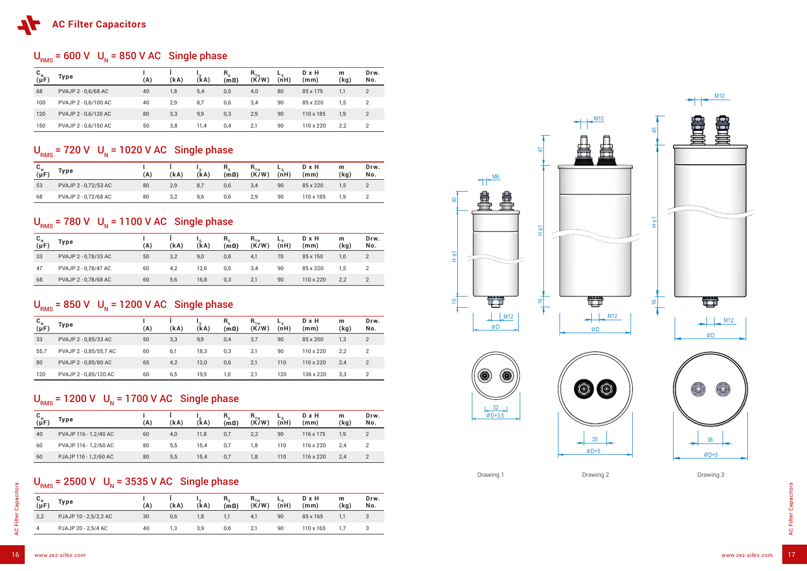### $U<sub>RMS</sub>$  = 600 V  $U<sub>N</sub>$  = 850 V AC Single phase

| $\mathbf{C}_{\mathbf{N}}$<br>$(\mu F)$ | Type                 | (A) | (kA) | ' s<br>(kA) | $R_{s}$<br>(m <sub>Ω</sub> ) | $\mathsf{R}_{\scriptscriptstyle\mathsf{TH}}$<br>(K/W) | $-$ s<br>(nH) | D x H<br>(mm) | m<br>(kg) | Drw.<br>No.    |
|----------------------------------------|----------------------|-----|------|-------------|------------------------------|-------------------------------------------------------|---------------|---------------|-----------|----------------|
| 68                                     | PVAJP 2 - 0,6/68 AC  | 40  | 1,8  | 5,4         | 0,5                          | 4,0                                                   | 80            | 85 x 175      | 1,1       | 2              |
| 100                                    | PVAJP 2 - 0,6/100 AC | 40  | 2,9  | 8,7         | 0,6                          | 3,4                                                   | 90            | 85 x 220      | 1,5       | 2              |
| 120                                    | PVAJP 2 - 0,6/120 AC | 80  | 3,3  | 9,9         | 0,3                          | 2,9                                                   | 90            | 110 x 185     | 1,9       | $\overline{2}$ |
| 150                                    | PVAJP 2 - 0,6/150 AC | 50  | 3,8  | 11,4        | 0,4                          | 2,1                                                   | 90            | 110 x 220     | 2,2       | 2              |

#### $U<sub>RMS</sub>$  = 720 V  $U<sub>N</sub>$  = 1020 V AC Single phase

| $\mathbf{C}_{N}$<br>$(\mu F)$ | Type                 | (A) | (kA) | 's<br>(kA) | $R_{s}$<br>$(m\Omega)$ | $R_{TH}$<br>(K/W) | $-$ s<br>(nH) | D x H<br>(mm) | m<br>(kg) | Drw.<br>No. |
|-------------------------------|----------------------|-----|------|------------|------------------------|-------------------|---------------|---------------|-----------|-------------|
| 33                            | PVAJP 2 - 0,78/33 AC | 50  | 3,2  | 9,0        | 0,8                    | 4,1               | 70            | 85 x 150      | 1,0       |             |
| 47                            | PVAJP 2 - 0,78/47 AC | 60  | 4,2  | 12,6       | 0,5                    | 3,4               | 90            | 85 x 220      | 5.،       |             |
| 68                            | PVAJP 2 - 0,78/68 AC | 60  | 5,6  | 16,8       | 0,3                    | 2,1               | 90            | 110 x 220     | 2,2       |             |

### $U<sub>RMS</sub>$  = 850 V  $U<sub>N</sub>$  = 1200 V AC Single phase

| $C_{N \atop (\mu F)}$ | Type                  | (A) | (kA) | (kA) | $R_{s}$<br>$(m\Omega)$ | $\mathsf{R}_{\sf TH}$<br>(K/W) | ► c<br>(nH) | D x H<br>(mm) | m<br>(kg) | Drw.<br>No. |
|-----------------------|-----------------------|-----|------|------|------------------------|--------------------------------|-------------|---------------|-----------|-------------|
| 40                    | PVAJP 116 - 1,2/40 AC | 60  | 4,0  | 11,8 | 0,7                    | 2,2                            | 90          | 116 x 175     | 1,9       |             |
| 60                    | PVAJP 116 - 1,2/60 AC | 80  | 5,5  | 15,4 | 0,7                    | 1,8                            | 110         | 116 x 220     | 2,4       |             |
| 60                    | PJAJP 116 - 1,2/60 AC | 80  | 5,5  | 15,4 | 0,7                    | 1,8                            | 110         | 116 x 220     | 2,4       |             |

### $U<sub>RMS</sub>$  = 2500 V  $U<sub>N</sub>$  = 3535 V AC Single phase

| し <sub>N</sub><br>(μF | Type                 | A) | (kA) | (kA) | n <sub>s</sub><br>$(m\Omega)$ | $n_{TH}$<br>(K/W) | $-$ s<br>(nH) | D x H<br>(mm) | m<br>(kg) | Drw.<br>No. |
|-----------------------|----------------------|----|------|------|-------------------------------|-------------------|---------------|---------------|-----------|-------------|
| 53                    | PVAJP 2 - 0,72/53 AC | 80 | 2,9  | 8,7  | 0,6                           | 3,4               | 90            | 85 x 220      | 1,5       |             |
| 68                    | PVAJP 2 - 0,72/68 AC | 80 | 3,2  | 9,6  | 0,6                           | 2,9               | 90            | 110 x 185     | 1.9       |             |

## $U<sub>RMS</sub>$  = 780 V  $U<sub>N</sub>$  = 1100 V AC Single phase

| $(\mu F)$ | Type                   | (A) | (kA) | (kA) | $R_{s}$<br>$(m\Omega)$ | $\mathsf{R}_{\scriptscriptstyle\mathsf{TH}}$<br>(K/W) | −s<br>(nH) | D x H<br>(mm) | m<br>(kg) | Drw.<br>No. |
|-----------|------------------------|-----|------|------|------------------------|-------------------------------------------------------|------------|---------------|-----------|-------------|
| 33        | PVAJP 2 - 0,85/33 AC   | 50  | 3,3  | 9,9  | 0,4                    | 3,7                                                   | 90         | 85 x 200      | 1,3       | 2           |
| 55,7      | PVAJP 2 - 0,85/55,7 AC | 60  | 6,1  | 18,3 | 0,3                    | 2,1                                                   | 90         | 110 x 220     | 2,2       | 2           |
| 80        | PVAJP 2 - 0,85/80 AC   | 65  | 4,2  | 12,0 | 0,6                    | 2,1                                                   | 110        | 110 x 220     | 2,4       | 2           |
| 120       | PVAJP 2 - 0,85/120 AC  | 60  | 6,5  | 19,5 | 1,0                    | 2,1                                                   | 120        | 136 x 220     | 3,3       | 2           |

## $U<sub>RMS</sub>$  = 1200 V  $U<sub>N</sub>$  = 1700 V AC Single phase

| $C_{N}$<br>( $\mu$ F | <b>Type</b>           | (A) | (kA) | (kA) | $n_{s}$<br>$(m\Omega)$ | R <sub>TH</sub><br>(K/W) | $-$ s<br>(nH) | D x H<br>(mm)    | m<br>(kg) | Drw.<br>No. |
|----------------------|-----------------------|-----|------|------|------------------------|--------------------------|---------------|------------------|-----------|-------------|
| 2,2                  | PJAJP 10 - 2,5/2,2 AC | 30  | 0,6  | 1,8  | I,I                    | 4,1                      | 90            | 85 x 165         |           |             |
| 4                    | PJAJP 20 - 2,5/4 AC   | 40  | 1,3  | 3,9  | 0,6                    | 2,1                      | 90            | $110 \times 165$ |           |             |







Drawing 1 Drawing 2 Drawing 2 Drawing 3